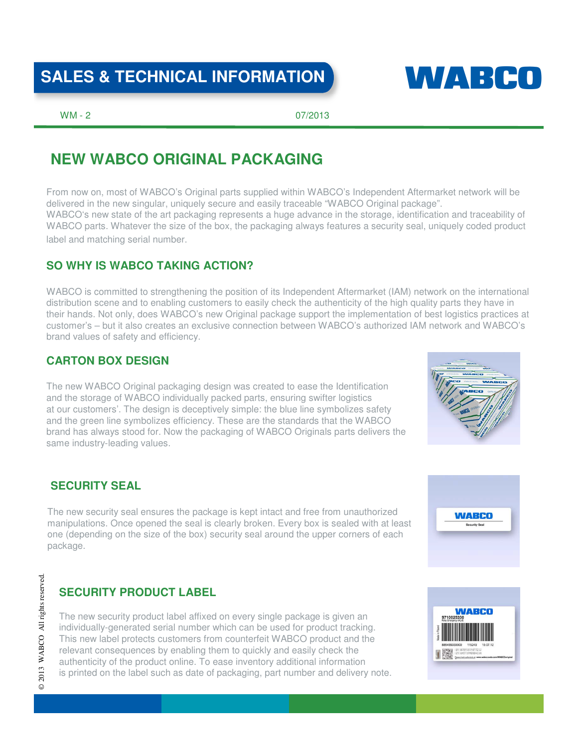# SALES & TECHNICAL INFORMATION **WALKER CONTACT**



WM - 2 07/2013

# **NEW WABCO ORIGINAL PACKAGING**

From now on, most of WABCO's Original parts supplied within WABCO's Independent Aftermarket network will be delivered in the new singular, uniquely secure and easily traceable "WABCO Original package". WABCO's new state of the art packaging represents a huge advance in the storage, identification and traceability of WABCO parts. Whatever the size of the box, the packaging always features a security seal, uniquely coded product label and matching serial number.

# **SO WHY IS WABCO TAKING ACTION?**

WABCO is committed to strengthening the position of its Independent Aftermarket (IAM) network on the international distribution scene and to enabling customers to easily check the authenticity of the high quality parts they have in their hands. Not only, does WABCO's new Original package support the implementation of best logistics practices at customer's – but it also creates an exclusive connection between WABCO's authorized IAM network and WABCO's brand values of safety and efficiency.

# **CARTON BOX DESIGN**

The new WABCO Original packaging design was created to ease the Identification and the storage of WABCO individually packed parts, ensuring swifter logistics at our customers'. The design is deceptively simple: the blue line symbolizes safety and the green line symbolizes efficiency. These are the standards that the WABCO brand has always stood for. Now the packaging of WABCO Originals parts delivers the same industry-leading values.



## **SECURITY SEAL**

The new security seal ensures the package is kept intact and free from unauthorized manipulations. Once opened the seal is clearly broken. Every box is sealed with at least one (depending on the size of the box) security seal around the upper corners of each package.

# **WABCO**

# **SECURITY PRODUCT LABEL**

The new security product label affixed on every single package is given an individually-generated serial number which can be used for product tracking. This new label protects customers from counterfeit WABCO product and the relevant consequences by enabling them to quickly and easily check the authenticity of the product online. To ease inventory additional information is printed on the label such as date of packaging, part number and delivery note.